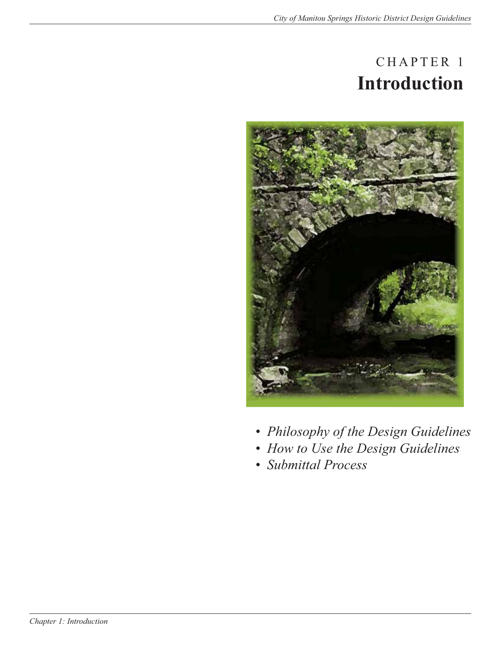# CHAPTER 1 **Introduction**



- *Philosophy of the Design Guidelines*
- *How to Use the Design Guidelines*
- *Submittal Process*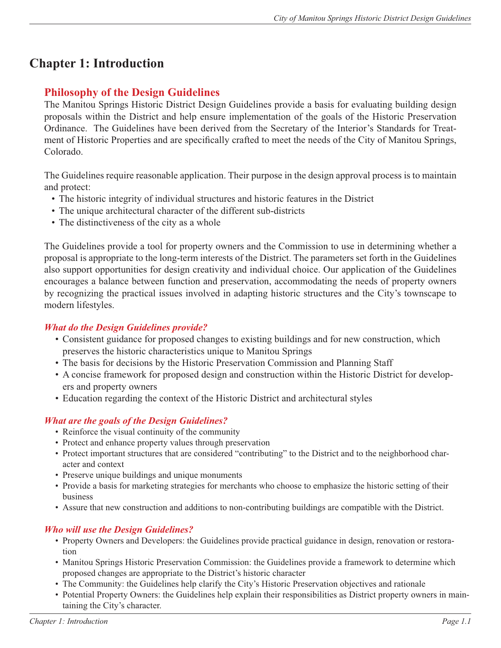# **Chapter 1: Introduction**

# **Philosophy of the Design Guidelines**

The Manitou Springs Historic District Design Guidelines provide a basis for evaluating building design proposals within the District and help ensure implementation of the goals of the Historic Preservation Ordinance. The Guidelines have been derived from the Secretary of the Interior's Standards for Treatment of Historic Properties and are specifically crafted to meet the needs of the City of Manitou Springs, Colorado.

The Guidelines require reasonable application. Their purpose in the design approval process is to maintain and protect:

- The historic integrity of individual structures and historic features in the District
- The unique architectural character of the different sub-districts
- The distinctiveness of the city as a whole

The Guidelines provide a tool for property owners and the Commission to use in determining whether a proposal is appropriate to the long-term interests of the District. The parameters set forth in the Guidelines also support opportunities for design creativity and individual choice. Our application of the Guidelines encourages a balance between function and preservation, accommodating the needs of property owners by recognizing the practical issues involved in adapting historic structures and the City's townscape to modern lifestyles.

#### *What do the Design Guidelines provide?*

- Consistent guidance for proposed changes to existing buildings and for new construction, which preserves the historic characteristics unique to Manitou Springs
- The basis for decisions by the Historic Preservation Commission and Planning Staff
- A concise framework for proposed design and construction within the Historic District for developers and property owners
- Education regarding the context of the Historic District and architectural styles

## *What are the goals of the Design Guidelines?*

- Reinforce the visual continuity of the community
- Protect and enhance property values through preservation
- Protect important structures that are considered "contributing" to the District and to the neighborhood character and context
- Preserve unique buildings and unique monuments
- Provide a basis for marketing strategies for merchants who choose to emphasize the historic setting of their business
- Assure that new construction and additions to non-contributing buildings are compatible with the District.

#### *Who will use the Design Guidelines?*

- Property Owners and Developers: the Guidelines provide practical guidance in design, renovation or restoration
- Manitou Springs Historic Preservation Commission: the Guidelines provide a framework to determine which proposed changes are appropriate to the District's historic character
- The Community: the Guidelines help clarify the City's Historic Preservation objectives and rationale
- Potential Property Owners: the Guidelines help explain their responsibilities as District property owners in maintaining the City's character.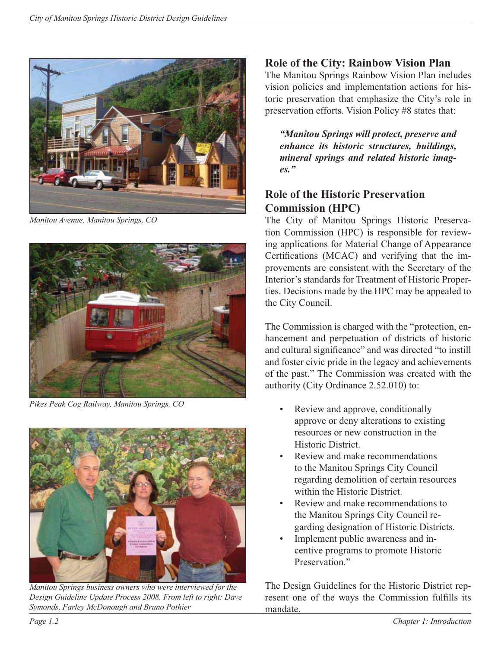

*Manitou Avenue, Manitou Springs, CO*



*Pikes Peak Cog Railway, Manitou Springs, CO*



*Manitou Springs business owners who were interviewed for the Design Guideline Update Process 2008. From left to right: Dave Symonds, Farley McDonough and Bruno Pothier*

# **Role of the City: Rainbow Vision Plan**

The Manitou Springs Rainbow Vision Plan includes vision policies and implementation actions for historic preservation that emphasize the City's role in preservation efforts. Vision Policy #8 states that:

*"Manitou Springs will protect, preserve and enhance its historic structures, buildings, mineral springs and related historic images."*

# **Role of the Historic Preservation Commission (HPC)**

The City of Manitou Springs Historic Preservation Commission (HPC) is responsible for reviewing applications for Material Change of Appearance Certifications (MCAC) and verifying that the improvements are consistent with the Secretary of the Interior's standards for Treatment of Historic Properties. Decisions made by the HPC may be appealed to the City Council.

The Commission is charged with the "protection, enhancement and perpetuation of districts of historic and cultural significance" and was directed "to instill and foster civic pride in the legacy and achievements of the past." The Commission was created with the authority (City Ordinance 2.52.010) to:

- Review and approve, conditionally approve or deny alterations to existing resources or new construction in the Historic District.
- Review and make recommendations to the Manitou Springs City Council regarding demolition of certain resources within the Historic District.
- Review and make recommendations to the Manitou Springs City Council regarding designation of Historic Districts.
- Implement public awareness and incentive programs to promote Historic Preservation"

The Design Guidelines for the Historic District represent one of the ways the Commission fulfills its mandate.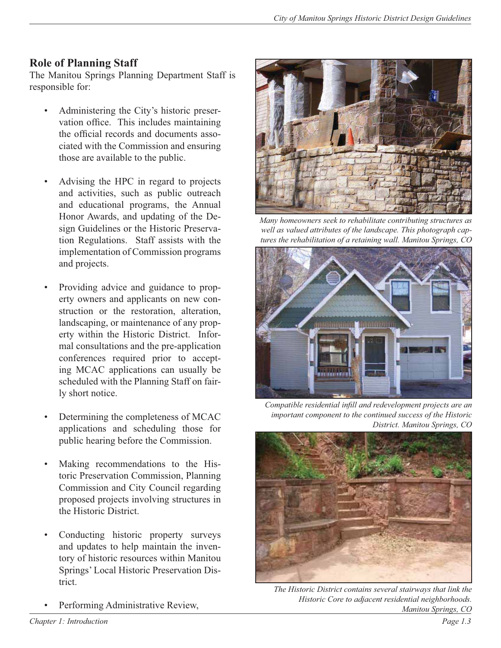# **Role of Planning Staff**

The Manitou Springs Planning Department Staff is responsible for:

- Administering the City's historic preservation office. This includes maintaining the official records and documents associated with the Commission and ensuring those are available to the public.
- Advising the HPC in regard to projects and activities, such as public outreach and educational programs, the Annual Honor Awards, and updating of the Design Guidelines or the Historic Preservation Regulations. Staff assists with the implementation of Commission programs and projects.
- Providing advice and guidance to property owners and applicants on new construction or the restoration, alteration, landscaping, or maintenance of any property within the Historic District. Informal consultations and the pre-application conferences required prior to accepting MCAC applications can usually be scheduled with the Planning Staff on fairly short notice.
- Determining the completeness of MCAC applications and scheduling those for public hearing before the Commission.
- Making recommendations to the Historic Preservation Commission, Planning Commission and City Council regarding proposed projects involving structures in the Historic District.
- Conducting historic property surveys and updates to help maintain the inventory of historic resources within Manitou Springs' Local Historic Preservation District.
- Performing Administrative Review,



*Many homeowners seek to rehabilitate contributing structures as well as valued attributes of the landscape. This photograph captures the rehabilitation of a retaining wall. Manitou Springs, CO*



*Compatible residential infill and redevelopment projects are an important component to the continued success of the Historic District. Manitou Springs, CO*



*The Historic District contains several stairways that link the Historic Core to adjacent residential neighborhoods. Manitou Springs, CO*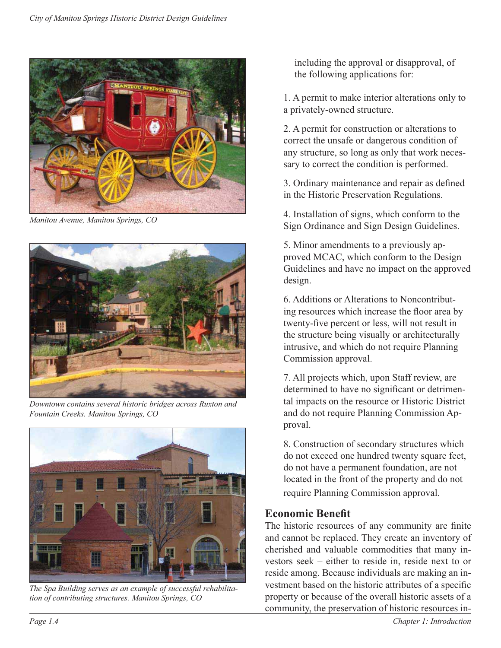

*Manitou Avenue, Manitou Springs, CO*



*Downtown contains several historic bridges across Ruxton and Fountain Creeks. Manitou Springs, CO*



*The Spa Building serves as an example of successful rehabilitation of contributing structures. Manitou Springs, CO*

including the approval or disapproval, of the following applications for:

1. A permit to make interior alterations only to a privately-owned structure.

2. A permit for construction or alterations to correct the unsafe or dangerous condition of any structure, so long as only that work necessary to correct the condition is performed.

3. Ordinary maintenance and repair as defined in the Historic Preservation Regulations.

4. Installation of signs, which conform to the Sign Ordinance and Sign Design Guidelines.

5. Minor amendments to a previously approved MCAC, which conform to the Design Guidelines and have no impact on the approved design.

6. Additions or Alterations to Noncontributing resources which increase the floor area by twenty-five percent or less, will not result in the structure being visually or architecturally intrusive, and which do not require Planning Commission approval.

7. All projects which, upon Staff review, are determined to have no significant or detrimental impacts on the resource or Historic District and do not require Planning Commission Approval.

8. Construction of secondary structures which do not exceed one hundred twenty square feet, do not have a permanent foundation, are not located in the front of the property and do not require Planning Commission approval.

# **Economic Benefit**

The historic resources of any community are finite and cannot be replaced. They create an inventory of cherished and valuable commodities that many investors seek – either to reside in, reside next to or reside among. Because individuals are making an investment based on the historic attributes of a specific property or because of the overall historic assets of a community, the preservation of historic resources in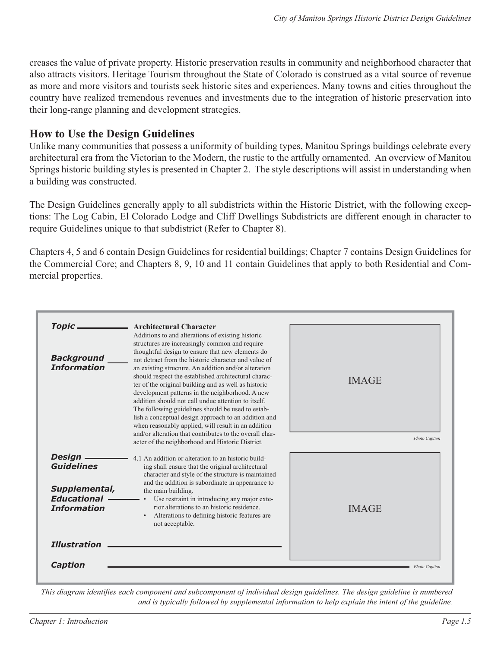creases the value of private property. Historic preservation results in community and neighborhood character that also attracts visitors. Heritage Tourism throughout the State of Colorado is construed as a vital source of revenue as more and more visitors and tourists seek historic sites and experiences. Many towns and cities throughout the country have realized tremendous revenues and investments due to the integration of historic preservation into their long-range planning and development strategies.

# **How to Use the Design Guidelines**

Unlike many communities that possess a uniformity of building types, Manitou Springs buildings celebrate every architectural era from the Victorian to the Modern, the rustic to the artfully ornamented. An overview of Manitou Springs historic building styles is presented in Chapter 2. The style descriptions will assist in understanding when a building was constructed.

The Design Guidelines generally apply to all subdistricts within the Historic District, with the following exceptions: The Log Cabin, El Colorado Lodge and Cliff Dwellings Subdistricts are different enough in character to require Guidelines unique to that subdistrict (Refer to Chapter 8).

Chapters 4, 5 and 6 contain Design Guidelines for residential buildings; Chapter 7 contains Design Guidelines for the Commercial Core; and Chapters 8, 9, 10 and 11 contain Guidelines that apply to both Residential and Commercial properties.

| <b>Topic</b><br><b>Background</b><br><b>Information</b>                                    | <b>Architectural Character</b><br>Additions to and alterations of existing historic<br>structures are increasingly common and require<br>thoughtful design to ensure that new elements do<br>not detract from the historic character and value of<br>an existing structure. An addition and/or alteration<br>should respect the established architectural charac-<br>ter of the original building and as well as historic<br>development patterns in the neighborhood. A new<br>addition should not call undue attention to itself.<br>The following guidelines should be used to estab-<br>lish a conceptual design approach to an addition and<br>when reasonably applied, will result in an addition | <b>IMAGE</b>  |
|--------------------------------------------------------------------------------------------|---------------------------------------------------------------------------------------------------------------------------------------------------------------------------------------------------------------------------------------------------------------------------------------------------------------------------------------------------------------------------------------------------------------------------------------------------------------------------------------------------------------------------------------------------------------------------------------------------------------------------------------------------------------------------------------------------------|---------------|
|                                                                                            | and/or alteration that contributes to the overall char-<br>acter of the neighborhood and Historic District.                                                                                                                                                                                                                                                                                                                                                                                                                                                                                                                                                                                             | Photo Caption |
| Design -<br><b>Guidelines</b><br>Supplemental,<br><b>Educational</b><br><b>Information</b> | 4.1 An addition or alteration to an historic build-<br>ing shall ensure that the original architectural<br>character and style of the structure is maintained<br>and the addition is subordinate in appearance to<br>the main building.<br>Use restraint in introducing any major exte-<br>rior alterations to an historic residence.                                                                                                                                                                                                                                                                                                                                                                   | <b>IMAGE</b>  |
| <b>Illustration</b><br>Caption                                                             | Alterations to defining historic features are.<br>not acceptable.                                                                                                                                                                                                                                                                                                                                                                                                                                                                                                                                                                                                                                       | Photo Caption |

*This diagram identifies each component and subcomponent of individual design guidelines. The design guideline is numbered and is typically followed by supplemental information to help explain the intent of the guideline.*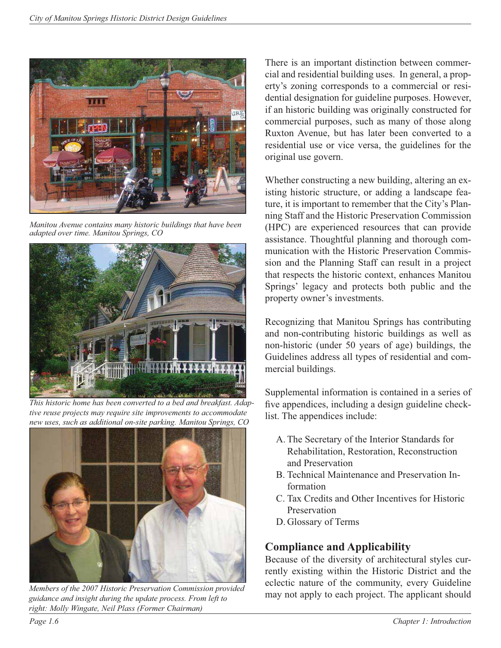

*Manitou Avenue contains many historic buildings that have been adapted over time. Manitou Springs, CO*



*This historic home has been converted to a bed and breakfast. Adaptive reuse projects may require site improvements to accommodate new uses, such as additional on-site parking. Manitou Springs, CO*



*Members of the 2007 Historic Preservation Commission provided guidance and insight during the update process. From left to right: Molly Wingate, Neil Plass (Former Chairman)*

There is an important distinction between commercial and residential building uses. In general, a property's zoning corresponds to a commercial or residential designation for guideline purposes. However, if an historic building was originally constructed for commercial purposes, such as many of those along Ruxton Avenue, but has later been converted to a residential use or vice versa, the guidelines for the original use govern.

Whether constructing a new building, altering an existing historic structure, or adding a landscape feature, it is important to remember that the City's Planning Staff and the Historic Preservation Commission (HPC) are experienced resources that can provide assistance. Thoughtful planning and thorough communication with the Historic Preservation Commission and the Planning Staff can result in a project that respects the historic context, enhances Manitou Springs' legacy and protects both public and the property owner's investments.

Recognizing that Manitou Springs has contributing and non-contributing historic buildings as well as non-historic (under 50 years of age) buildings, the Guidelines address all types of residential and commercial buildings.

Supplemental information is contained in a series of five appendices, including a design guideline checklist. The appendices include:

- A. The Secretary of the Interior Standards for Rehabilitation, Restoration, Reconstruction and Preservation
- B. Technical Maintenance and Preservation Information
- C. Tax Credits and Other Incentives for Historic Preservation
- D. Glossary of Terms

# **Compliance and Applicability**

Because of the diversity of architectural styles currently existing within the Historic District and the eclectic nature of the community, every Guideline may not apply to each project. The applicant should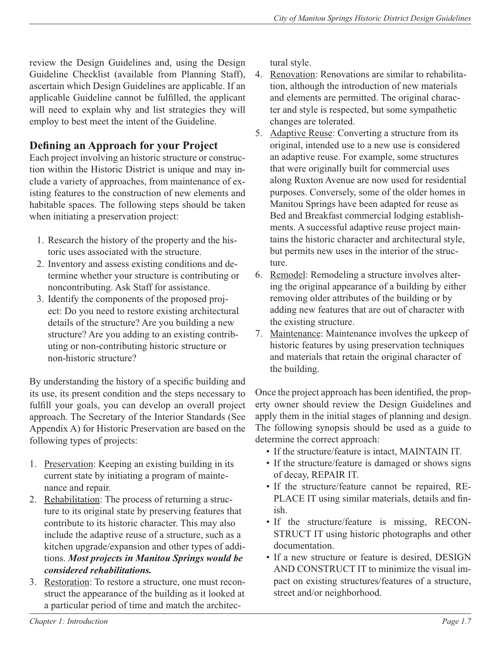review the Design Guidelines and, using the Design Guideline Checklist (available from Planning Staff), ascertain which Design Guidelines are applicable. If an applicable Guideline cannot be fulfilled, the applicant will need to explain why and list strategies they will employ to best meet the intent of the Guideline.

# **Defining an Approach for your Project**

Each project involving an historic structure or construction within the Historic District is unique and may include a variety of approaches, from maintenance of existing features to the construction of new elements and habitable spaces. The following steps should be taken when initiating a preservation project:

- 1. Research the history of the property and the historic uses associated with the structure.
- 2. Inventory and assess existing conditions and determine whether your structure is contributing or noncontributing. Ask Staff for assistance.
- 3. Identify the components of the proposed project: Do you need to restore existing architectural details of the structure? Are you building a new structure? Are you adding to an existing contributing or non-contributing historic structure or non-historic structure?

By understanding the history of a specific building and its use, its present condition and the steps necessary to fulfill your goals, you can develop an overall project approach. The Secretary of the Interior Standards (See Appendix A) for Historic Preservation are based on the following types of projects:

- 1. Preservation: Keeping an existing building in its current state by initiating a program of maintenance and repair.
- 2. Rehabilitation: The process of returning a structure to its original state by preserving features that contribute to its historic character. This may also include the adaptive reuse of a structure, such as a kitchen upgrade/expansion and other types of additions. *Most projects in Manitou Springs would be considered rehabilitations.*
- 3. Restoration: To restore a structure, one must reconstruct the appearance of the building as it looked at a particular period of time and match the architec-

tural style.

- 4. Renovation: Renovations are similar to rehabilitation, although the introduction of new materials and elements are permitted. The original character and style is respected, but some sympathetic changes are tolerated.
- 5. Adaptive Reuse: Converting a structure from its original, intended use to a new use is considered an adaptive reuse. For example, some structures that were originally built for commercial uses along Ruxton Avenue are now used for residential purposes. Conversely, some of the older homes in Manitou Springs have been adapted for reuse as Bed and Breakfast commercial lodging establishments. A successful adaptive reuse project maintains the historic character and architectural style, but permits new uses in the interior of the structure.
- 6. Remodel: Remodeling a structure involves altering the original appearance of a building by either removing older attributes of the building or by adding new features that are out of character with the existing structure.
- 7. Maintenance: Maintenance involves the upkeep of historic features by using preservation techniques and materials that retain the original character of the building.

Once the project approach has been identified, the property owner should review the Design Guidelines and apply them in the initial stages of planning and design. The following synopsis should be used as a guide to determine the correct approach:

- If the structure/feature is intact, MAINTAIN IT.
- If the structure/feature is damaged or shows signs of decay, REPAIR IT.
- If the structure/feature cannot be repaired, RE-PLACE IT using similar materials, details and finish.
- If the structure/feature is missing, RECON-STRUCT IT using historic photographs and other documentation.
- If a new structure or feature is desired, DESIGN AND CONSTRUCT IT to minimize the visual impact on existing structures/features of a structure, street and/or neighborhood.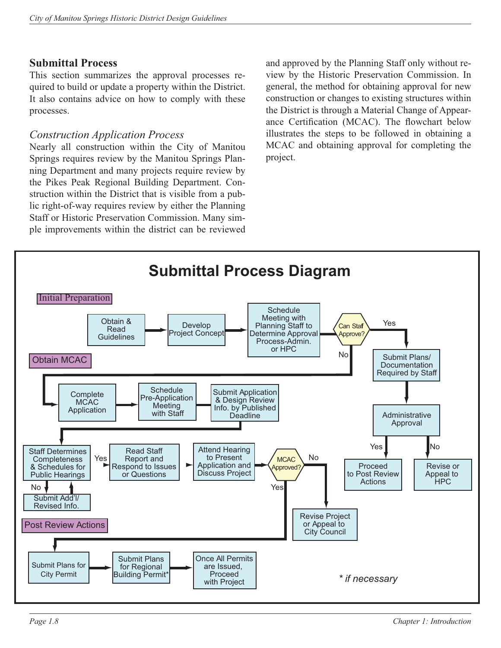## **Submittal Process**

This section summarizes the approval processes required to build or update a property within the District. It also contains advice on how to comply with these processes.

## *Construction Application Process*

Nearly all construction within the City of Manitou Springs requires review by the Manitou Springs Planning Department and many projects require review by the Pikes Peak Regional Building Department. Construction within the District that is visible from a public right-of-way requires review by either the Planning Staff or Historic Preservation Commission. Many simple improvements within the district can be reviewed

and approved by the Planning Staff only without review by the Historic Preservation Commission. In general, the method for obtaining approval for new construction or changes to existing structures within the District is through a Material Change of Appearance Certification (MCAC). The flowchart below illustrates the steps to be followed in obtaining a MCAC and obtaining approval for completing the project.